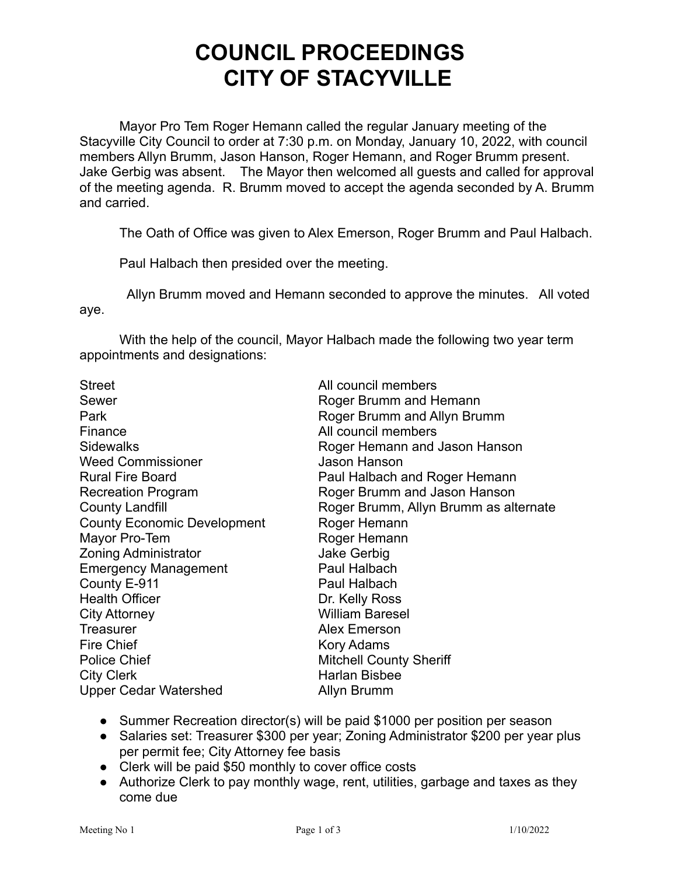## **COUNCIL PROCEEDINGS CITY OF STACYVILLE**

Mayor Pro Tem Roger Hemann called the regular January meeting of the Stacyville City Council to order at 7:30 p.m. on Monday, January 10, 2022, with council members Allyn Brumm, Jason Hanson, Roger Hemann, and Roger Brumm present. Jake Gerbig was absent. The Mayor then welcomed all guests and called for approval of the meeting agenda. R. Brumm moved to accept the agenda seconded by A. Brumm and carried.

The Oath of Office was given to Alex Emerson, Roger Brumm and Paul Halbach.

Paul Halbach then presided over the meeting.

Allyn Brumm moved and Hemann seconded to approve the minutes. All voted aye.

With the help of the council, Mayor Halbach made the following two year term appointments and designations:

| <b>Street</b>                      | All council members                   |
|------------------------------------|---------------------------------------|
| Sewer                              | Roger Brumm and Hemann                |
| Park                               | Roger Brumm and Allyn Brumm           |
| Finance                            | All council members                   |
| <b>Sidewalks</b>                   | Roger Hemann and Jason Hanson         |
| <b>Weed Commissioner</b>           | Jason Hanson                          |
| <b>Rural Fire Board</b>            | Paul Halbach and Roger Hemann         |
| <b>Recreation Program</b>          | Roger Brumm and Jason Hanson          |
| <b>County Landfill</b>             | Roger Brumm, Allyn Brumm as alternate |
| <b>County Economic Development</b> | Roger Hemann                          |
| Mayor Pro-Tem                      | Roger Hemann                          |
| <b>Zoning Administrator</b>        | <b>Jake Gerbig</b>                    |
| <b>Emergency Management</b>        | Paul Halbach                          |
| County E-911                       | Paul Halbach                          |
| <b>Health Officer</b>              | Dr. Kelly Ross                        |
| <b>City Attorney</b>               | <b>William Baresel</b>                |
| <b>Treasurer</b>                   | <b>Alex Emerson</b>                   |
| <b>Fire Chief</b>                  | Kory Adams                            |
| <b>Police Chief</b>                | <b>Mitchell County Sheriff</b>        |
| <b>City Clerk</b>                  | Harlan Bisbee                         |
| <b>Upper Cedar Watershed</b>       | Allyn Brumm                           |
|                                    |                                       |

- Summer Recreation director(s) will be paid \$1000 per position per season
- Salaries set: Treasurer \$300 per year; Zoning Administrator \$200 per year plus per permit fee; City Attorney fee basis
- Clerk will be paid \$50 monthly to cover office costs
- Authorize Clerk to pay monthly wage, rent, utilities, garbage and taxes as they come due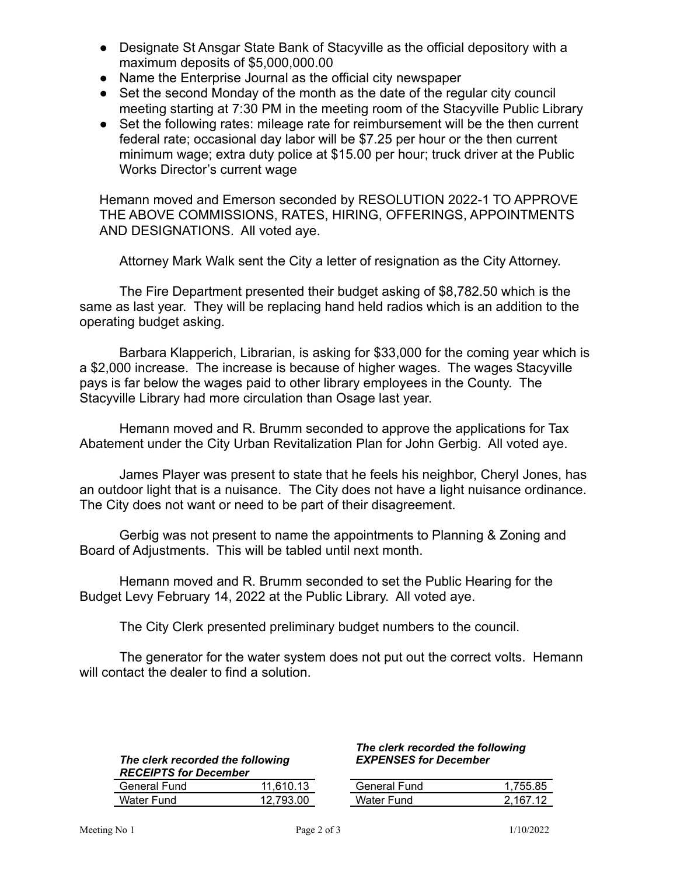- Designate St Ansgar State Bank of Stacyville as the official depository with a maximum deposits of \$5,000,000.00
- Name the Enterprise Journal as the official city newspaper
- Set the second Monday of the month as the date of the regular city council meeting starting at 7:30 PM in the meeting room of the Stacyville Public Library
- Set the following rates: mileage rate for reimbursement will be the then current federal rate; occasional day labor will be \$7.25 per hour or the then current minimum wage; extra duty police at \$15.00 per hour; truck driver at the Public Works Director's current wage

Hemann moved and Emerson seconded by RESOLUTION 2022-1 TO APPROVE THE ABOVE COMMISSIONS, RATES, HIRING, OFFERINGS, APPOINTMENTS AND DESIGNATIONS. All voted aye.

Attorney Mark Walk sent the City a letter of resignation as the City Attorney.

The Fire Department presented their budget asking of \$8,782.50 which is the same as last year. They will be replacing hand held radios which is an addition to the operating budget asking.

Barbara Klapperich, Librarian, is asking for \$33,000 for the coming year which is a \$2,000 increase. The increase is because of higher wages. The wages Stacyville pays is far below the wages paid to other library employees in the County. The Stacyville Library had more circulation than Osage last year.

Hemann moved and R. Brumm seconded to approve the applications for Tax Abatement under the City Urban Revitalization Plan for John Gerbig. All voted aye.

James Player was present to state that he feels his neighbor, Cheryl Jones, has an outdoor light that is a nuisance. The City does not have a light nuisance ordinance. The City does not want or need to be part of their disagreement.

Gerbig was not present to name the appointments to Planning & Zoning and Board of Adjustments. This will be tabled until next month.

Hemann moved and R. Brumm seconded to set the Public Hearing for the Budget Levy February 14, 2022 at the Public Library. All voted aye.

The City Clerk presented preliminary budget numbers to the council.

The generator for the water system does not put out the correct volts. Hemann will contact the dealer to find a solution.

| The clerk recorded the following |         |  |
|----------------------------------|---------|--|
| <b>RECEIPTS for December</b>     |         |  |
| General Fund                     | 11 61 N |  |

## General Fund 11,610.13 General Fund 1,755.85 Water Fund 12,793.00

## *The clerk recorded the following EXPENSES for December*

| General Fund | 1.755.85 |
|--------------|----------|
| Water Fund   | 2 167 12 |